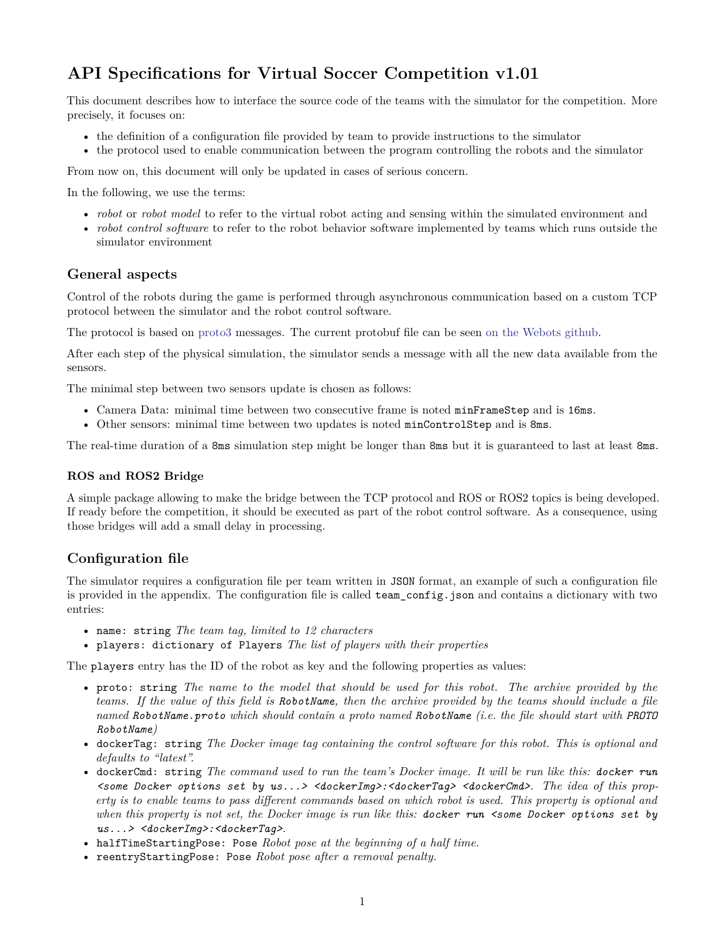# **API Specifications for Virtual Soccer Competition v1.01**

This document describes how to interface the source code of the teams with the simulator for the competition. More precisely, it focuses on:

- the definition of a configuration file provided by team to provide instructions to the simulator
- the protocol used to enable communication between the program controlling the robots and the simulator

From now on, this document will only be updated in cases of serious concern.

In the following, we use the terms:

- *robot* or *robot model* to refer to the virtual robot acting and sensing within the simulated environment and
- *robot control software* to refer to the robot behavior software implemented by teams which runs outside the simulator environment

#### **General aspects**

Control of the robots during the game is performed through asynchronous communication based on a custom TCP protocol between the simulator and the robot control software.

The protocol is based on [proto3](https://developers.google.com/protocol-buffers/docs/proto3) messages. The current protobuf file can be seen [on the Webots github.](https://github.com/cyberbotics/webots/blob/feature-robocup-controllers/projects/samples/contests/robocup/controllers/player/messages.proto)

After each step of the physical simulation, the simulator sends a message with all the new data available from the sensors.

The minimal step between two sensors update is chosen as follows:

- Camera Data: minimal time between two consecutive frame is noted minFrameStep and is 16ms.
- Other sensors: minimal time between two updates is noted minControlStep and is 8ms.

The real-time duration of a 8ms simulation step might be longer than 8ms but it is guaranteed to last at least 8ms.

#### **ROS and ROS2 Bridge**

A simple package allowing to make the bridge between the TCP protocol and ROS or ROS2 topics is being developed. If ready before the competition, it should be executed as part of the robot control software. As a consequence, using those bridges will add a small delay in processing.

### **Configuration file**

The simulator requires a configuration file per team written in JSON format, an example of such a configuration file is provided in the appendix. The configuration file is called team\_config.json and contains a dictionary with two entries:

- name: string *The team tag, limited to 12 characters*
- players: dictionary of Players *The list of players with their properties*

The players entry has the ID of the robot as key and the following properties as values:

- proto: string *The name to the model that should be used for this robot. The archive provided by the teams. If the value of this field is RobotName, then the archive provided by the teams should include a file named RobotName.proto which should contain a proto named RobotName (i.e. the file should start with PROTO RobotName)*
- dockerTag: string *The Docker image tag containing the control software for this robot. This is optional and defaults to "latest".*
- dockerCmd: string *The command used to run the team's Docker image. It will be run like this: docker run <some Docker options set by us...> <dockerImg>:<dockerTag> <dockerCmd>. The idea of this property is to enable teams to pass different commands based on which robot is used. This property is optional and when this property is not set, the Docker image is run like this: docker run <some Docker options set by us...> <dockerImg>:<dockerTag>.*
- halfTimeStartingPose: Pose *Robot pose at the beginning of a half time.*
- reentryStartingPose: Pose *Robot pose after a removal penalty.*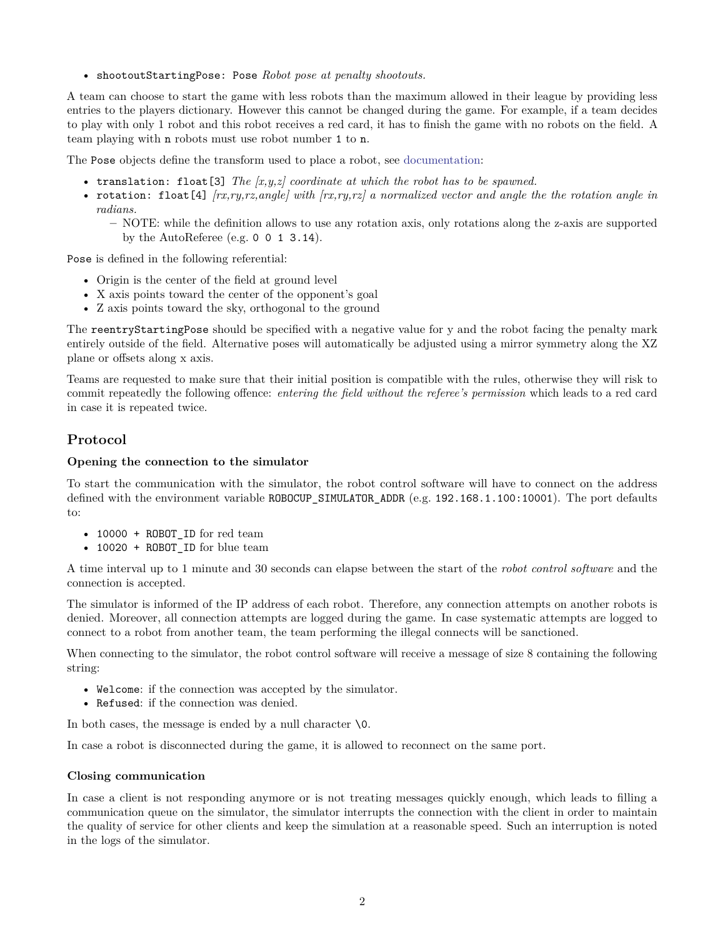• shootoutStartingPose: Pose *Robot pose at penalty shootouts.*

A team can choose to start the game with less robots than the maximum allowed in their league by providing less entries to the players dictionary. However this cannot be changed during the game. For example, if a team decides to play with only 1 robot and this robot receives a red card, it has to finish the game with no robots on the field. A team playing with n robots must use robot number 1 to n.

The Pose objects define the transform used to place a robot, see [documentation:](https://cyberbotics.com/doc/reference/transform)

- translation: float[3] *The [x,y,z] coordinate at which the robot has to be spawned.*
- rotation: float[4] *[rx,ry,rz,angle] with [rx,ry,rz] a normalized vector and angle the the rotation angle in radians.*

**–** NOTE: while the definition allows to use any rotation axis, only rotations along the z-axis are supported by the AutoReferee (e.g. 0 0 1 3.14).

Pose is defined in the following referential:

- Origin is the center of the field at ground level
- X axis points toward the center of the opponent's goal
- Z axis points toward the sky, orthogonal to the ground

The reentryStartingPose should be specified with a negative value for y and the robot facing the penalty mark entirely outside of the field. Alternative poses will automatically be adjusted using a mirror symmetry along the XZ plane or offsets along x axis.

Teams are requested to make sure that their initial position is compatible with the rules, otherwise they will risk to commit repeatedly the following offence: *entering the field without the referee's permission* which leads to a red card in case it is repeated twice.

## **Protocol**

#### **Opening the connection to the simulator**

To start the communication with the simulator, the robot control software will have to connect on the address defined with the environment variable ROBOCUP\_SIMULATOR\_ADDR (e.g. 192.168.1.100:10001). The port defaults to:

- 10000 + ROBOT\_ID for red team
- 10020 + ROBOT\_ID for blue team

A time interval up to 1 minute and 30 seconds can elapse between the start of the *robot control software* and the connection is accepted.

The simulator is informed of the IP address of each robot. Therefore, any connection attempts on another robots is denied. Moreover, all connection attempts are logged during the game. In case systematic attempts are logged to connect to a robot from another team, the team performing the illegal connects will be sanctioned.

When connecting to the simulator, the robot control software will receive a message of size 8 containing the following string:

- Welcome: if the connection was accepted by the simulator.
- Refused: if the connection was denied.

In both cases, the message is ended by a null character  $\setminus 0$ .

In case a robot is disconnected during the game, it is allowed to reconnect on the same port.

#### **Closing communication**

In case a client is not responding anymore or is not treating messages quickly enough, which leads to filling a communication queue on the simulator, the simulator interrupts the connection with the client in order to maintain the quality of service for other clients and keep the simulation at a reasonable speed. Such an interruption is noted in the logs of the simulator.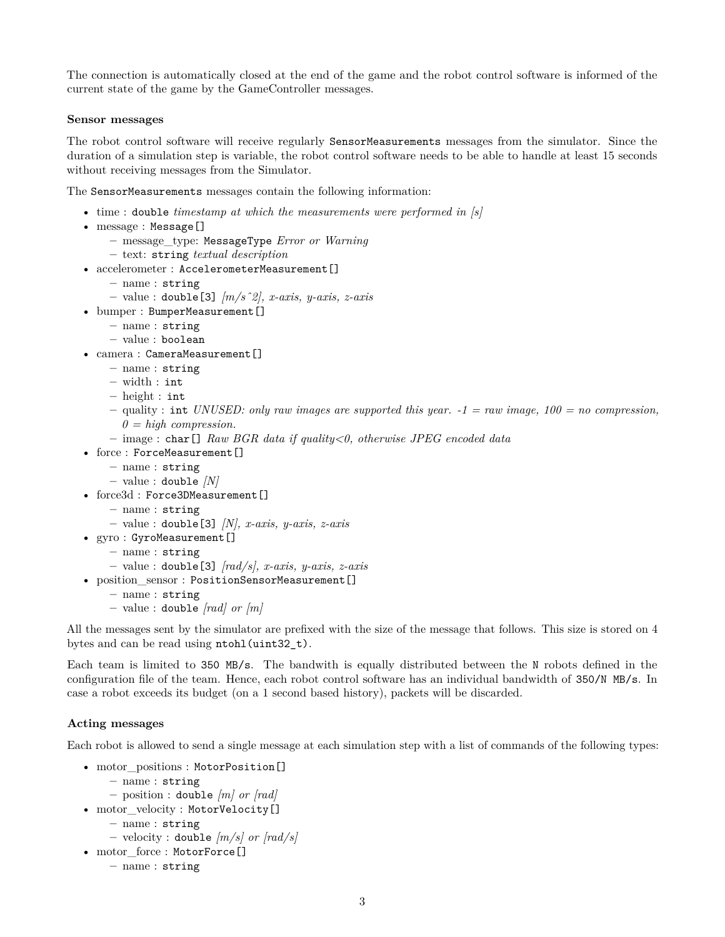The connection is automatically closed at the end of the game and the robot control software is informed of the current state of the game by the GameController messages.

#### **Sensor messages**

The robot control software will receive regularly SensorMeasurements messages from the simulator. Since the duration of a simulation step is variable, the robot control software needs to be able to handle at least 15 seconds without receiving messages from the Simulator.

The SensorMeasurements messages contain the following information:

- time : double *timestamp at which the measurements were performed in [s]*
- message : Message[]
	- **–** message\_type: MessageType *Error or Warning*
	- **–** text: string *textual description*
- accelerometer : AccelerometerMeasurement[]
	- **–** name : string
	- **–** value : double[3] *[m/sˆ2], x-axis, y-axis, z-axis*
- bumper : BumperMeasurement []
	- **–** name : string
	- **–** value : boolean
- camera : CameraMeasurement []
	- **–** name : string
	- **–** width : int
	- **–** height : int
	- **–** quality : int *UNUSED: only raw images are supported this year. -1 = raw image, 100 = no compression, 0 = high compression.*
	- **–** image : char[] *Raw BGR data if quality<0, otherwise JPEG encoded data*
- force: ForceMeasurement []
	- **–** name : string
	- **–** value : double *[N]*
- force3d : Force3DMeasurement []
	- **–** name : string
	- **–** value : double[3] *[N], x-axis, y-axis, z-axis*
- gyro : GyroMeasurement[]
	- **–** name : string
	- **–** value : double[3] *[rad/s], x-axis, y-axis, z-axis*
- position\_sensor : PositionSensorMeasurement[]
	- **–** name : string
	- **–** value : double *[rad] or [m]*

All the messages sent by the simulator are prefixed with the size of the message that follows. This size is stored on 4 bytes and can be read using ntohl(uint32\_t).

Each team is limited to 350 MB/s. The bandwith is equally distributed between the N robots defined in the configuration file of the team. Hence, each robot control software has an individual bandwidth of 350/N MB/s. In case a robot exceeds its budget (on a 1 second based history), packets will be discarded.

#### **Acting messages**

Each robot is allowed to send a single message at each simulation step with a list of commands of the following types:

- motor positions : MotorPosition[]
	- **–** name : string
	- **–** position : double *[m] or [rad]*
- motor velocity : MotorVelocity[]
	- **–** name : string
	- **–** velocity : double *[m/s] or [rad/s]*
- motor\_force : MotorForce[]
	- **–** name : string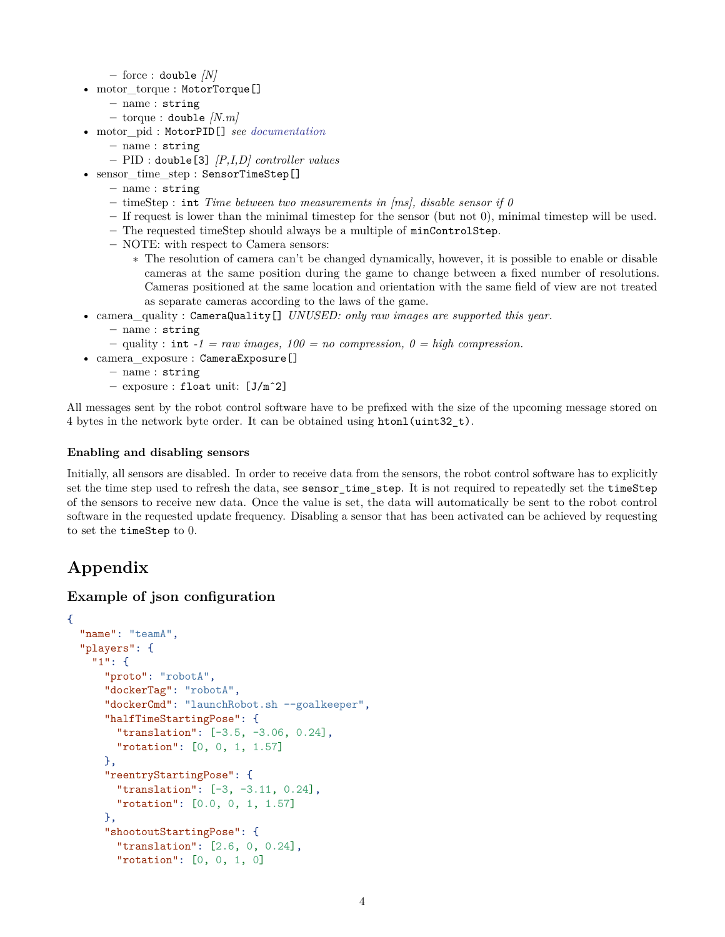**–** force : double *[N]*

- motor\_torque : MotorTorque[]
	- **–** name : string
	- **–** torque : double *[N.m]*
- motor\_pid : MotorPID[] *see [documentation](https://cyberbotics.com/doc/reference/motor)*
	- **–** name : string
		- **–** PID : double[3] *[P,I,D] controller values*
- sensor time step : SensorTimeStep[]
	- **–** name : string
	- **–** timeStep : int *Time between two measurements in [ms], disable sensor if 0*
	- **–** If request is lower than the minimal timestep for the sensor (but not 0), minimal timestep will be used.
	- **–** The requested timeStep should always be a multiple of minControlStep.
	- **–** NOTE: with respect to Camera sensors:
		- ∗ The resolution of camera can't be changed dynamically, however, it is possible to enable or disable cameras at the same position during the game to change between a fixed number of resolutions. Cameras positioned at the same location and orientation with the same field of view are not treated as separate cameras according to the laws of the game.
- camera\_quality : CameraQuality[] *UNUSED: only raw images are supported this year.*
	- **–** name : string
	- $–$  quality : int *-1* = *raw images,*  $100 = no$  compression,  $0 = high$  compression.
- camera\_exposure : CameraExposure[]
	- **–** name : string
	- **–** exposure : float unit: [J/mˆ2]

All messages sent by the robot control software have to be prefixed with the size of the upcoming message stored on 4 bytes in the network byte order. It can be obtained using htonl(uint32 t).

#### **Enabling and disabling sensors**

Initially, all sensors are disabled. In order to receive data from the sensors, the robot control software has to explicitly set the time step used to refresh the data, see sensor\_time\_step. It is not required to repeatedly set the timeStep of the sensors to receive new data. Once the value is set, the data will automatically be sent to the robot control software in the requested update frequency. Disabling a sensor that has been activated can be achieved by requesting to set the timeStep to 0.

# **Appendix**

#### **Example of json configuration**

```
{
  "name": "teamA",
  "players": {
    "1": {
      "proto": "robotA",
      "dockerTag": "robotA",
      "dockerCmd": "launchRobot.sh --goalkeeper",
      "halfTimeStartingPose": {
        "translation": [-3.5, -3.06, 0.24],
        "rotation": [0, 0, 1, 1.57]
      },
      "reentryStartingPose": {
        "translation": [-3, -3.11, 0.24],
        "rotation": [0.0, 0, 1, 1.57]
     },
      "shootoutStartingPose": {
        "translation": [2.6, 0, 0.24],
        "rotation": [0, 0, 1, 0]
```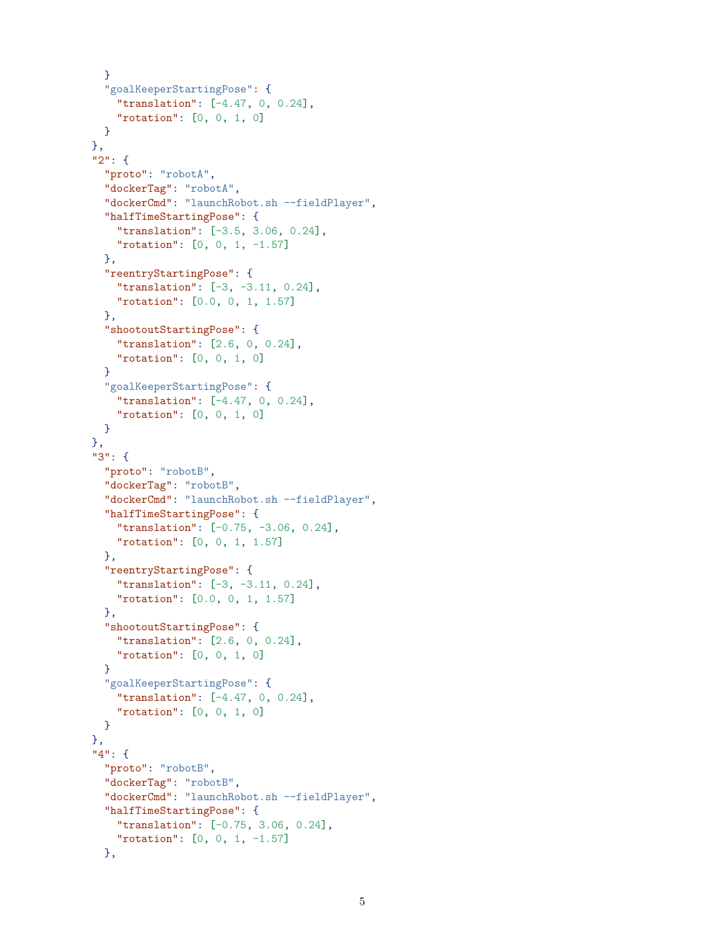```
}
  "goalKeeperStartingPose": {
    "translation": [-4.47, 0, 0.24],
    "rotation": [0, 0, 1, 0]
  }
},
"2": {
  "proto": "robotA",
  "dockerTag": "robotA",
  "dockerCmd": "launchRobot.sh --fieldPlayer",
  "halfTimeStartingPose": {
    "translation": [-3.5, 3.06, 0.24],
    "rotation": [0, 0, 1, -1.57]
  },
  "reentryStartingPose": {
    "translation": [-3, -3.11, 0.24],
    "rotation": [0.0, 0, 1, 1.57]
  },
  "shootoutStartingPose": {
    "translation": [2.6, 0, 0.24],
    "rotation": [0, 0, 1, 0]
  }
  "goalKeeperStartingPose": {
    "translation": [-4.47, 0, 0.24],
    "rotation": [0, 0, 1, 0]
 }
},
"3": {
  "proto": "robotB",
  "dockerTag": "robotB",
  "dockerCmd": "launchRobot.sh --fieldPlayer",
  "halfTimeStartingPose": {
    "translation": [-0.75, -3.06, 0.24],
    "rotation": [0, 0, 1, 1.57]
 },
  "reentryStartingPose": {
    "translation": [-3, -3.11, 0.24],
    "rotation": [0.0, 0, 1, 1.57]
 },
  "shootoutStartingPose": {
    "translation": [2.6, 0, 0.24],
    "rotation": [0, 0, 1, 0]
  }
  "goalKeeperStartingPose": {
    "translation": [-4.47, 0, 0.24],
    "rotation": [0, 0, 1, 0]
 }
},
"4": {
  "proto": "robotB",
  "dockerTag": "robotB",
  "dockerCmd": "launchRobot.sh --fieldPlayer",
  "halfTimeStartingPose": {
    "translation": [-0.75, 3.06, 0.24],
    "rotation": [0, 0, 1, -1.57]
  },
```